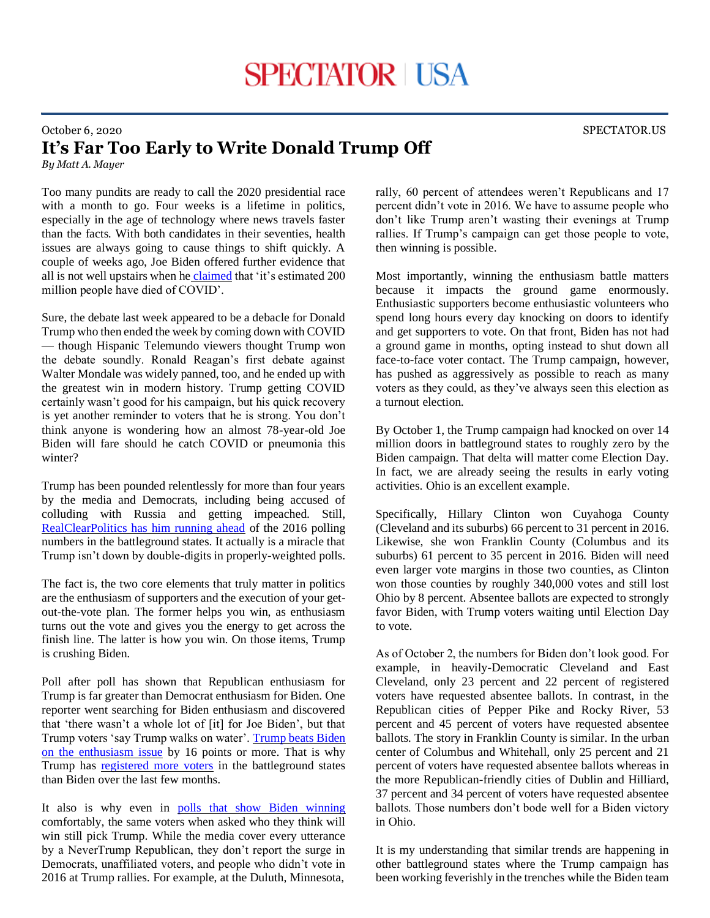## October 6, 2020 SPECTATOR.US **It's Far Too Early to Write Donald Trump Off**

*By Matt A. Mayer*

Too many pundits are ready to call the 2020 presidential race with a month to go. Four weeks is a lifetime in politics, especially in the age of technology where news travels faster than the facts. With both candidates in their seventies, health issues are always going to cause things to shift quickly. A couple of weeks ago, Joe Biden offered further evidence that all is not well upstairs when he [claimed](https://www.foxnews.com/politics/biden-says-200-million-die-from-covid) that 'it's estimated 200 million people have died of COVID'.

Sure, the debate last week appeared to be a debacle for Donald Trump who then ended the week by coming down with COVID — though Hispanic Telemundo viewers thought Trump won the debate soundly. Ronald Reagan's first debate against Walter Mondale was widely panned, too, and he ended up with the greatest win in modern history. Trump getting COVID certainly wasn't good for his campaign, but his quick recovery is yet another reminder to voters that he is strong. You don't think anyone is wondering how an almost 78-year-old Joe Biden will fare should he catch COVID or pneumonia this winter?

Trump has been pounded relentlessly for more than four years by the media and Democrats, including being accused of colluding with Russia and getting impeached. Still, [RealClearPolitics has him running ahead](https://www.realclearpolitics.com/epolls/2020/president/us/trump-vs-biden-top-battleground-states-2020-vs-2016/) of the 2016 polling numbers in the battleground states. It actually is a miracle that Trump isn't down by double-digits in properly-weighted polls.

The fact is, the two core elements that truly matter in politics are the enthusiasm of supporters and the execution of your getout-the-vote plan. The former helps you win, as enthusiasm turns out the vote and gives you the energy to get across the finish line. The latter is how you win. On those items, Trump is crushing Biden.

Poll after poll has shown that Republican enthusiasm for Trump is far greater than Democrat enthusiasm for Biden. One reporter went searching for Biden enthusiasm and discovered that 'there wasn't a whole lot of [it] for Joe Biden', but that Trump voters 'say Trump walks on water'. [Trump beats Biden](https://thehill.com/homenews/media/518786-abcs-martha-raddatz-says-she-didnt-see-a-lot-of-enthusiasm-for-joe-biden-in)  [on the enthusiasm issue](https://thehill.com/homenews/media/518786-abcs-martha-raddatz-says-she-didnt-see-a-lot-of-enthusiasm-for-joe-biden-in) by 16 points or more. That is why Trump has [registered more voters](https://www.nbcnews.com/politics/2020-election/trump-s-winning-voter-registration-battle-against-biden-key-states-n1241674) in the battleground states than Biden over the last few months.

It also is why even in [polls that show Biden winning](https://www.monmouth.edu/polling-institute/reports/monmouthpoll_us_091020/) comfortably, the same voters when asked who they think will win still pick Trump. While the media cover every utterance by a NeverTrump Republican, they don't report the surge in Democrats, unaffiliated voters, and people who didn't vote in 2016 at Trump rallies. For example, at the Duluth, Minnesota,

rally, 60 percent of attendees weren't Republicans and 17 percent didn't vote in 2016. We have to assume people who don't like Trump aren't wasting their evenings at Trump rallies. If Trump's campaign can get those people to vote, then winning is possible.

Most importantly, winning the enthusiasm battle matters because it impacts the ground game enormously. Enthusiastic supporters become enthusiastic volunteers who spend long hours every day knocking on doors to identify and get supporters to vote. On that front, Biden has not had a ground game in months, opting instead to shut down all face-to-face voter contact. The Trump campaign, however, has pushed as aggressively as possible to reach as many voters as they could, as they've always seen this election as a turnout election.

By October 1, the Trump campaign had knocked on over 14 million doors in battleground states to roughly zero by the Biden campaign. That delta will matter come Election Day. In fact, we are already seeing the results in early voting activities. Ohio is an excellent example.

Specifically, Hillary Clinton won Cuyahoga County (Cleveland and its suburbs) 66 percent to 31 percent in 2016. Likewise, she won Franklin County (Columbus and its suburbs) 61 percent to 35 percent in 2016. Biden will need even larger vote margins in those two counties, as Clinton won those counties by roughly 340,000 votes and still lost Ohio by 8 percent. Absentee ballots are expected to strongly favor Biden, with Trump voters waiting until Election Day to vote.

As of October 2, the numbers for Biden don't look good. For example, in heavily-Democratic Cleveland and East Cleveland, only 23 percent and 22 percent of registered voters have requested absentee ballots. In contrast, in the Republican cities of Pepper Pike and Rocky River, 53 percent and 45 percent of voters have requested absentee ballots. The story in Franklin County is similar. In the urban center of Columbus and Whitehall, only 25 percent and 21 percent of voters have requested absentee ballots whereas in the more Republican-friendly cities of Dublin and Hilliard, 37 percent and 34 percent of voters have requested absentee ballots. Those numbers don't bode well for a Biden victory in Ohio.

It is my understanding that similar trends are happening in other battleground states where the Trump campaign has been working feverishly in the trenches while the Biden team